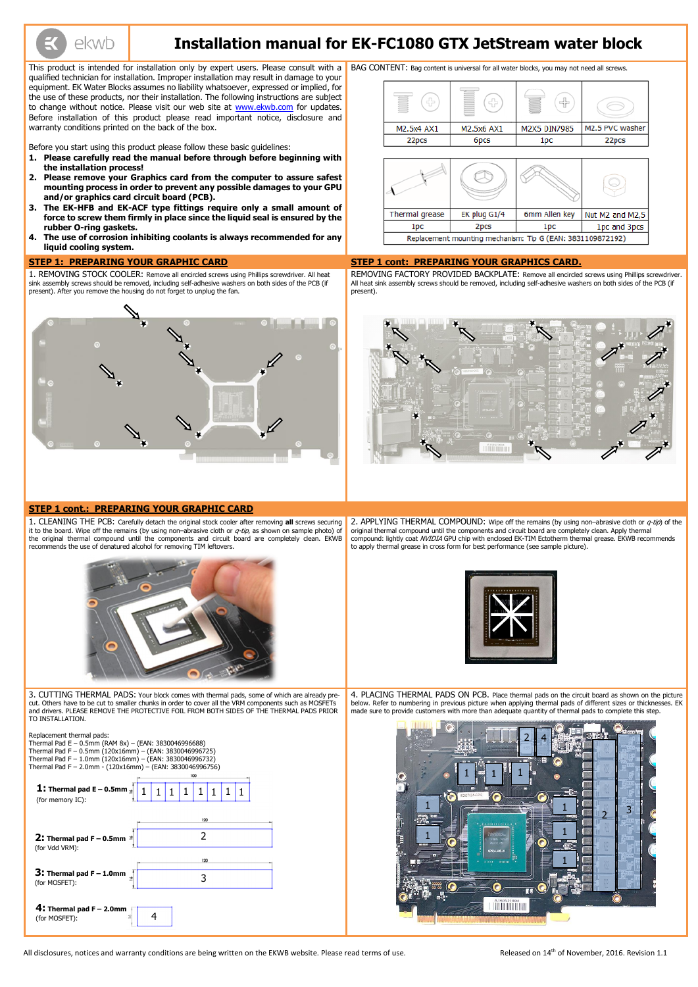ekwb

# **Installation manual for EK-FC1080 GTX JetStream water block**

This product is intended for installation only by expert users. Please consult with a qualified technician for installation. Improper installation may result in damage to your equipment. EK Water Blocks assumes no liability whatsoever, expressed or implied, for the use of these products, nor their installation. The following instructions are subject to change without notice. Please visit our web site at [www.ekwb.com](http://www.ekwb.com/) for updates. Before installation of this product please read important notice, disclosure and warranty conditions printed on the back of the box.

Before you start using this product please follow these basic guidelines:

- **1. Please carefully read the manual before through before beginning with the installation process!**
- **2. Please remove your Graphics card from the computer to assure safest mounting process in order to prevent any possible damages to your GPU and/or graphics card circuit board (PCB).**
- **3. The EK-HFB and EK-ACF type fittings require only a small amount of force to screw them firmly in place since the liquid seal is ensured by the rubber O-ring gaskets.**
- **4. The use of corrosion inhibiting coolants is always recommended for any liquid cooling system.**

2. APPLYING THERMAL COMPOUND: Wipe off the remains (by using non-abrasive cloth or  $q$ -tip) of the original thermal compound until the components and circuit board are completely clean. Apply thermal compound: lightly coat *NVIDIA* GPU chip with enclosed EK-TIM Ectotherm thermal grease. EKWB recommends to apply thermal grease in cross form for best performance (see sample picture).



BAG CONTENT: Bag content is universal for all water blocks, you may not need all screws.





#### **STEP 1: PREPARING YOUR GRAPHIC CARD STEP 1 cont: PREPARING YOUR GRAPHICS CARD.**

1. REMOVING STOCK COOLER: Remove all encircled screws using Phillips screwdriver. All heat sink assembly screws should be removed, including self-adhesive washers on both sides of the PCB (if present). After you remove the housing do not forget to unplug the fan.

REMOVING FACTORY PROVIDED BACKPLATE: Remove all encircled screws using Phillips screwdriver. All heat sink assembly screws should be removed, including self-adhesive washers on both sides of the PCB (if present).



#### **STEP 1 cont.: PREPARING YOUR GRAPHIC CARD**

1. CLEANING THE PCB: Carefully detach the original stock cooler after removing **all** screws securing it to the board. Wipe off the remains (by using non-abrasive cloth or  $q$ -tip, as shown on sample photo) of the original thermal compound until the components and circuit board are completely clean. EKWB recommends the use of denatured alcohol for removing TIM leftovers.



3. CUTTING THERMAL PADS: Your block comes with thermal pads, some of which are already precut. Others have to be cut to smaller chunks in order to cover all the VRM components such as MOSFETs and drivers. PLEASE REMOVE THE PROTECTIVE FOIL FROM BOTH SIDES OF THE THERMAL PADS PRIOR TO INSTALLATION.

Replacement thermal pads: Thermal Pad E – 0.5mm (RAM 8x) – (EAN: 3830046996688) 4. PLACING THERMAL PADS ON PCB. Place thermal pads on the circuit board as shown on the picture below. Refer to numbering in previous picture when applying thermal pads of different sizes or thicknesses. EK made sure to provide customers with more than adequate quantity of thermal pads to complete this step.



All disclosures, notices and warranty conditions are being written on the EKWB website. Please read terms of use. Released on 14<sup>th</sup> of November, 2016. Revision 1.1